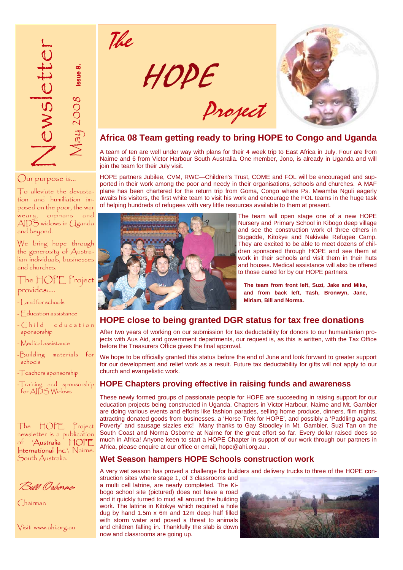

# Our purpose is…

To alleviate the devastation and humiliation imposed on the poor, the war weary, orphans and AIDS widows in Uganda and beyond.

We bring hope through the generosity of Australian individuals, businesses and churches.

The HOPE Project provides:….

- Land for schools

- Education assistance
- $-C<sub>h</sub>$ ild education sponsorship
- Medical assistance
- -Building materials for schools<sup>1</sup>
- -Teachers sponsorship

-Training and sponsorship for AIDS Widows

The HOPE Project newsletter is a publication of 'Australia HOPE International Inc.<sup>2</sup>, Nairne. South Australia.

Bill Osborne.

Chairman

Visit www.ahi.org.au



Project

The



# **Africa 08 Team getting ready to bring HOPE to Congo and Uganda**

A team of ten are well under way with plans for their 4 week trip to East Africa in July. Four are from Nairne and 6 from Victor Harbour South Australia. One member, Jono, is already in Uganda and will join the team for their July visit.

HOPE partners Jubilee, CVM, RWC—Children's Trust, COME and FOL will be encouraged and supported in their work among the poor and needy in their organisations, schools and churches. A MAF plane has been chartered for the return trip from Goma, Congo where Ps. Mwamba Nguli eagerly awaits his visitors, the first white team to visit his work and encourage the FOL teams in the huge task of helping hundreds of refugees with very little resources available to them at present.



The team will open stage one of a new HOPE Nursery and Primary School in Kibogo deep village and see the construction work of three others in Bugadde, Kitokye and Nakivale Refugee Camp. They are excited to be able to meet dozens of children sponsored through HOPE and see them at work in their schools and visit them in their huts and houses. Medical assistance will also be offered to those cared for by our HOPE partners.

**The team from front left, Suzi, Jake and Mike, and from back left, Tash, Bronwyn, Jane, Miriam, Bill and Norma.** 

# **HOPE close to being granted DGR status for tax free donations**

After two years of working on our submission for tax deductability for donors to our humanitarian projects with Aus Aid, and government departments, our request is, as this is written, with the Tax Office before the Treasurers Office gives the final approval.

We hope to be officially granted this status before the end of June and look forward to greater support for our development and relief work as a result. Future tax deductability for gifts will not apply to our church and evangelistic work.

# **HOPE Chapters proving effective in raising funds and awareness**

These newly formed groups of passionate people for HOPE are succeeding in raising support for our education projects being constructed in Uganda. Chapters in Victor Harbour, Nairne and Mt. Gambier are doing various events and efforts like fashion parades, selling home produce, dinners, film nights, attracting donated goods from businesses, a 'Horse Trek for HOPE', and possibly a 'Paddling against Poverty' and sausage sizzles etc! Many thanks to Gay Stoodley in Mt. Gambier, Suzi Tan on the South Coast and Norma Osborne at Nairne for the great effort so far. Every dollar raised does so much in Africa! Anyone keen to start a HOPE Chapter in support of our work through our partners in Africa, please enquire at our office or email, hope@ahi.org.au .

# **Wet Season hampers HOPE Schools construction work**

A very wet season has proved a challenge for builders and delivery trucks to three of the HOPE construction sites where stage 1, of 3 classrooms and

a multi cell latrine, are nearly completed. The Kibogo school site (pictured) does not have a road and it quickly turned to mud all around the building work. The latrine in Kitokye which required a hole dug by hand 1.5m x 6m and 12m deep half filled with storm water and posed a threat to animals and children falling in. Thankfully the slab is down now and classrooms are going up.